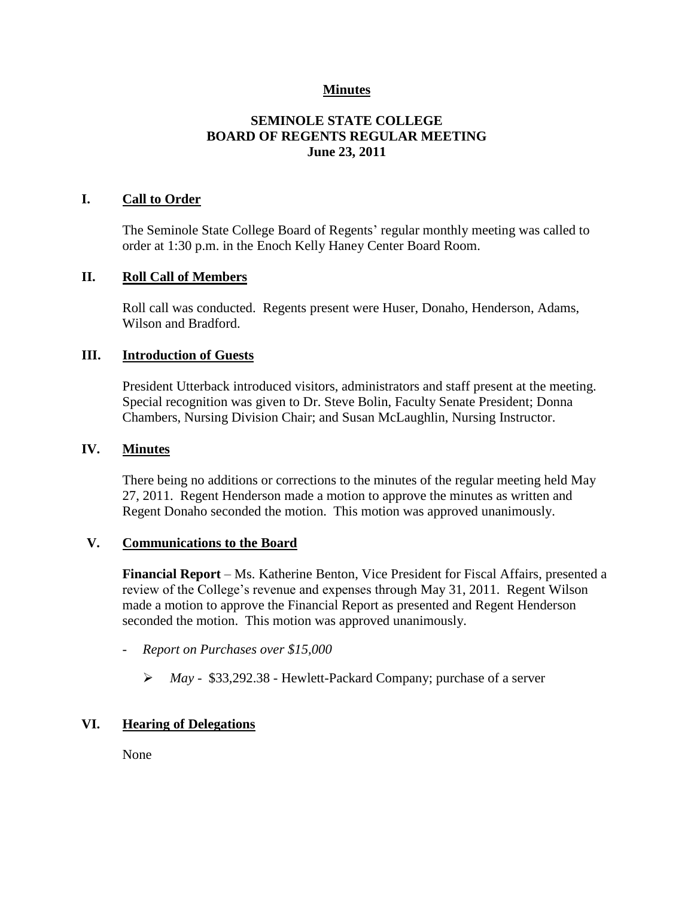## **Minutes**

## **SEMINOLE STATE COLLEGE BOARD OF REGENTS REGULAR MEETING June 23, 2011**

## **I. Call to Order**

The Seminole State College Board of Regents' regular monthly meeting was called to order at 1:30 p.m. in the Enoch Kelly Haney Center Board Room.

#### **II. Roll Call of Members**

Roll call was conducted. Regents present were Huser, Donaho, Henderson, Adams, Wilson and Bradford.

#### **III. Introduction of Guests**

President Utterback introduced visitors, administrators and staff present at the meeting. Special recognition was given to Dr. Steve Bolin, Faculty Senate President; Donna Chambers, Nursing Division Chair; and Susan McLaughlin, Nursing Instructor.

#### **IV. Minutes**

There being no additions or corrections to the minutes of the regular meeting held May 27, 2011. Regent Henderson made a motion to approve the minutes as written and Regent Donaho seconded the motion. This motion was approved unanimously.

## **V. Communications to the Board**

**Financial Report** – Ms. Katherine Benton, Vice President for Fiscal Affairs, presented a review of the College's revenue and expenses through May 31, 2011. Regent Wilson made a motion to approve the Financial Report as presented and Regent Henderson seconded the motion. This motion was approved unanimously.

- *Report on Purchases over \$15,000*
	- *May -* \$33,292.38 Hewlett-Packard Company; purchase of a server

## **VI. Hearing of Delegations**

None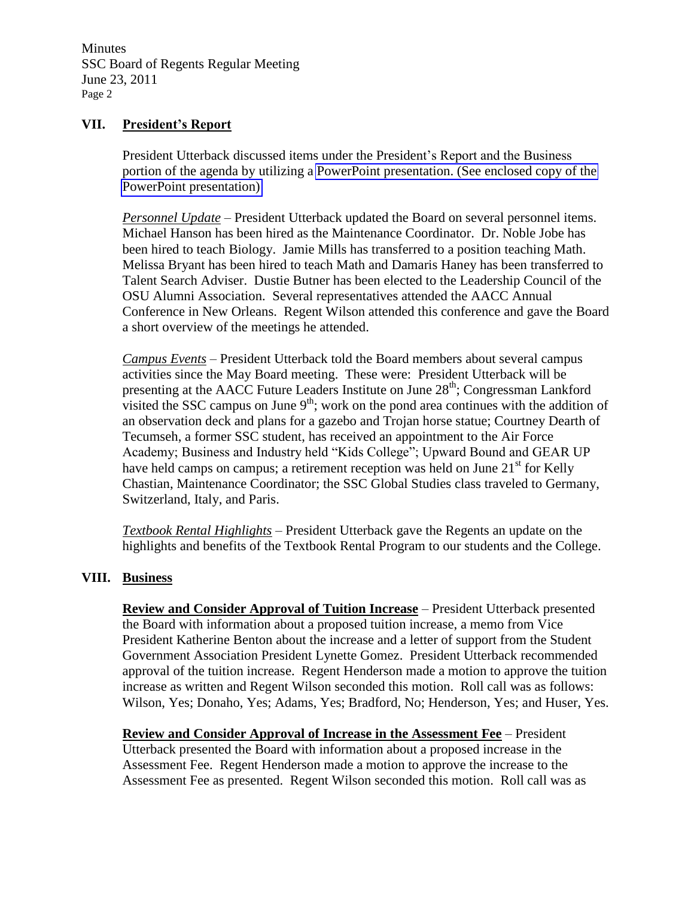Minutes SSC Board of Regents Regular Meeting June 23, 2011 Page 2

#### **VII. President's Report**

President Utterback discussed items under the President's Report and the Business portion of the agenda by utilizing a PowerPoint presentation. (See enclosed copy of the PowerPoint presentation)

*Personnel Update* – President Utterback updated the Board on several personnel items. Michael Hanson has been hired as the Maintenance Coordinator. Dr. Noble Jobe has been hired to teach Biology. Jamie Mills has transferred to a position teaching Math. Melissa Bryant has been hired to teach Math and Damaris Haney has been transferred to Talent Search Adviser. Dustie Butner has been elected to the Leadership Council of the OSU Alumni Association. Several representatives attended the AACC Annual Conference in New Orleans. Regent Wilson attended this conference and gave the Board a short overview of the meetings he attended.

*Campus Events* – President Utterback told the Board members about several campus activities since the May Board meeting. These were: President Utterback will be presenting at the AACC Future Leaders Institute on June 28<sup>th</sup>; Congressman Lankford visited the SSC campus on June  $9<sup>th</sup>$ ; work on the pond area continues with the addition of an observation deck and plans for a gazebo and Trojan horse statue; Courtney Dearth of Tecumseh, a former SSC student, has received an appointment to the Air Force Academy; Business and Industry held "Kids College"; Upward Bound and GEAR UP have held camps on campus; a retirement reception was held on June  $21<sup>st</sup>$  for Kelly Chastian, Maintenance Coordinator; the SSC Global Studies class traveled to Germany, Switzerland, Italy, and Paris.

*Textbook Rental Highlights* – President Utterback gave the Regents an update on the highlights and benefits of the Textbook Rental Program to our students and the College.

## **VIII. Business**

**Review and Consider Approval of Tuition Increase** – President Utterback presented the Board with information about a proposed tuition increase, a memo from Vice President Katherine Benton about the increase and a letter of support from the Student Government Association President Lynette Gomez. President Utterback recommended approval of the tuition increase. Regent Henderson made a motion to approve the tuition increase as written and Regent Wilson seconded this motion. Roll call was as follows: Wilson, Yes; Donaho, Yes; Adams, Yes; Bradford, No; Henderson, Yes; and Huser, Yes.

**Review and Consider Approval of Increase in the Assessment Fee** – President Utterback presented the Board with information about a proposed increase in the Assessment Fee. Regent Henderson made a motion to approve the increase to the Assessment Fee as presented. Regent Wilson seconded this motion. Roll call was as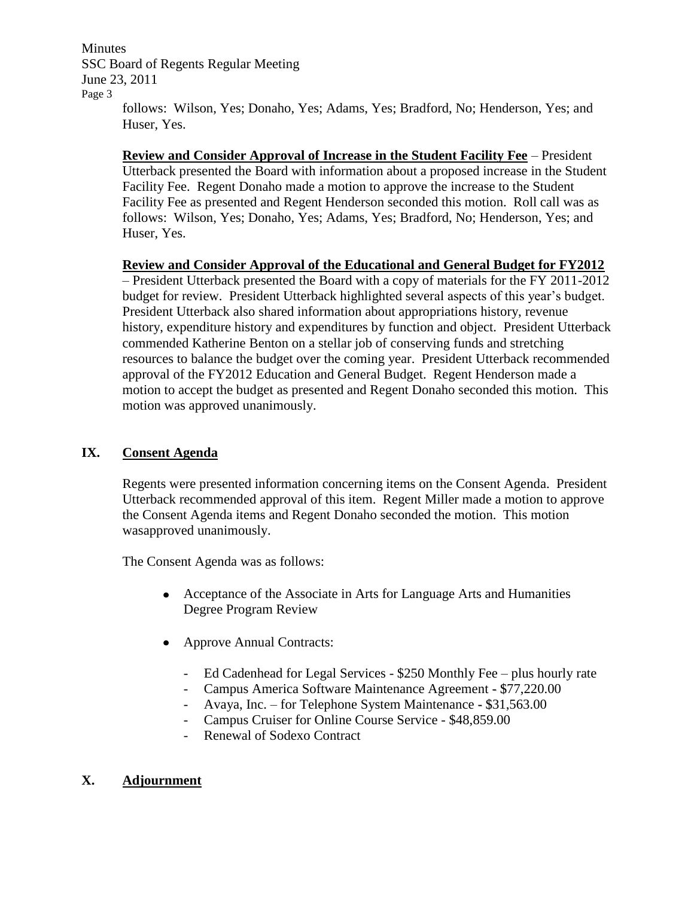Minutes SSC Board of Regents Regular Meeting June 23, 2011 Page 3 follows: Wilson, Yes; Donaho, Yes; Adams, Yes; Bradford, No; Henderson, Yes; and

**Review and Consider Approval of Increase in the Student Facility Fee** – President Utterback presented the Board with information about a proposed increase in the Student Facility Fee. Regent Donaho made a motion to approve the increase to the Student Facility Fee as presented and Regent Henderson seconded this motion. Roll call was as follows: Wilson, Yes; Donaho, Yes; Adams, Yes; Bradford, No; Henderson, Yes; and Huser, Yes.

## **Review and Consider Approval of the Educational and General Budget for FY2012**

– President Utterback presented the Board with a copy of materials for the FY 2011-2012 budget for review. President Utterback highlighted several aspects of this year's budget. President Utterback also shared information about appropriations history, revenue history, expenditure history and expenditures by function and object. President Utterback commended Katherine Benton on a stellar job of conserving funds and stretching resources to balance the budget over the coming year. President Utterback recommended approval of the FY2012 Education and General Budget. Regent Henderson made a motion to accept the budget as presented and Regent Donaho seconded this motion. This motion was approved unanimously.

## **IX. Consent Agenda**

Huser, Yes.

Regents were presented information concerning items on the Consent Agenda. President Utterback recommended approval of this item. Regent Miller made a motion to approve the Consent Agenda items and Regent Donaho seconded the motion. This motion wasapproved unanimously.

The Consent Agenda was as follows:

- Acceptance of the Associate in Arts for Language Arts and Humanities Degree Program Review
- Approve Annual Contracts:
	- Ed Cadenhead for Legal Services \$250 Monthly Fee plus hourly rate
	- Campus America Software Maintenance Agreement \$77,220.00
	- Avaya, Inc. for Telephone System Maintenance \$31,563.00
	- Campus Cruiser for Online Course Service \$48,859.00
	- Renewal of Sodexo Contract

# **X. Adjournment**